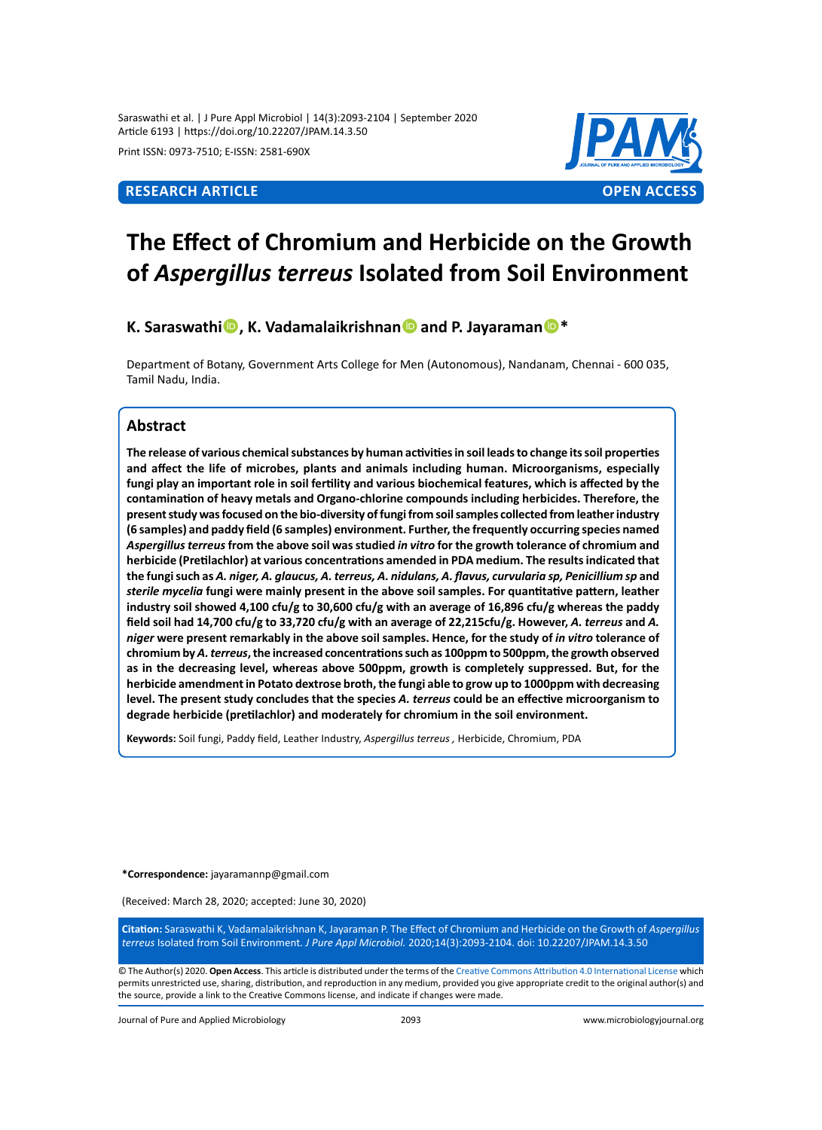Saraswathi et al. | J Pure Appl Microbiol | 14(3):2093-2104 | September 2020 Article 6193 | https://doi.org/10.22207/JPAM.14.3.50

Print ISSN: 0973-7510; E-ISSN: 2581-690X



# **The Effect of Chromium and Herbicide on the Growth of** *Aspergillus terreus* **Isolated from Soil Environment**

**K. SaraswathiO**, K. Vadamalaikrishnan**O** and P. Jayaraman<sup>O</sup><sup>\*</sup>

Department of Botany, Government Arts College for Men (Autonomous), Nandanam, Chennai - 600 035, Tamil Nadu, India.

#### **Abstract**

**The release of various chemical substances by human activities in soil leads to change its soil properties and affect the life of microbes, plants and animals including human. Microorganisms, especially fungi play an important role in soil fertility and various biochemical features, which is affected by the contamination of heavy metals and Organo-chlorine compounds including herbicides. Therefore, the present study was focused on the bio-diversity of fungi from soil samples collected from leather industry (6 samples) and paddy field (6 samples) environment. Further, the frequently occurring species named**  *Aspergillus terreus* **from the above soil was studied** *in vitro* **for the growth tolerance of chromium and herbicide (Pretilachlor) at various concentrations amended in PDA medium. The results indicated that the fungi such as** *A. niger, A. glaucus, A. terreus, A. nidulans, A. flavus, curvularia sp, Penicillium sp* **and**  *sterile mycelia* **fungi were mainly present in the above soil samples. For quantitative pattern, leather industry soil showed 4,100 cfu/g to 30,600 cfu/g with an average of 16,896 cfu/g whereas the paddy field soil had 14,700 cfu/g to 33,720 cfu/g with an average of 22,215cfu/g. However,** *A. terreus* **and** *A. niger* **were present remarkably in the above soil samples. Hence, for the study of** *in vitro* **tolerance of chromium by** *A. terreus***, the increased concentrations such as 100ppm to 500ppm, the growth observed as in the decreasing level, whereas above 500ppm, growth is completely suppressed. But, for the herbicide amendment in Potato dextrose broth, the fungi able to grow up to 1000ppm with decreasing level. The present study concludes that the species** *A. terreus* **could be an effective microorganism to degrade herbicide (pretilachlor) and moderately for chromium in the soil environment.**

**Keywords:** Soil fungi, Paddy field, Leather Industry, *Aspergillus terreus ,* Herbicide, Chromium, PDA

**\*Correspondence:** [jayaramannp@gmail.com](mailto:jayaramannp@gmail.com)

(Received: March 28, 2020; accepted: June 30, 2020)

**Citation:** Saraswathi K, Vadamalaikrishnan K, Jayaraman P. The Effect of Chromium and Herbicide on the Growth of *Aspergillus terreus* Isolated from Soil Environment. *J Pure Appl Microbiol.* 2020;14(3):2093-2104. doi: 10.22207/JPAM.14.3.50

© The Author(s) 2020. **Open Access**. This article is distributed under the terms of the [Creative Commons Attribution 4.0 International License](https://creativecommons.org/licenses/by/4.0/) which permits unrestricted use, sharing, distribution, and reproduction in any medium, provided you give appropriate credit to the original author(s) and the source, provide a link to the Creative Commons license, and indicate if changes were made.

Journal of Pure and Applied Microbiology 2093 www.microbiologyjournal.org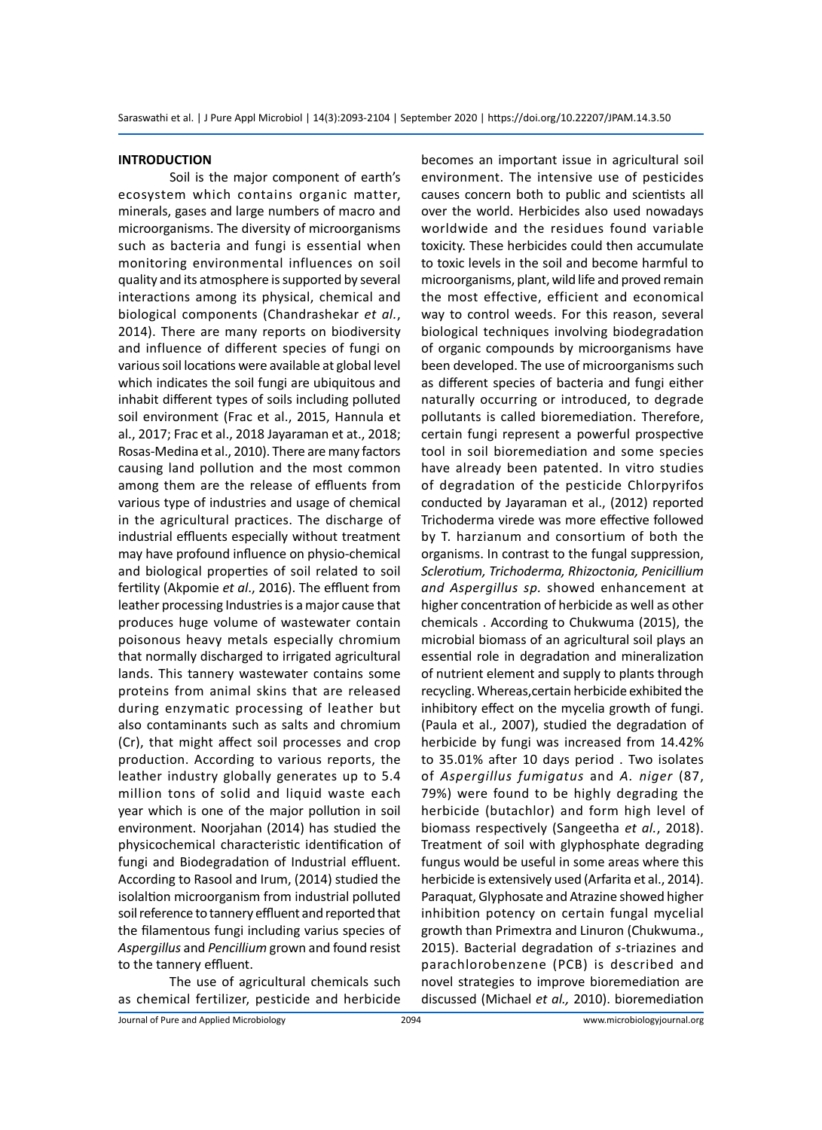#### **INTRODUCTION**

Soil is the major component of earth's ecosystem which contains organic matter, minerals, gases and large numbers of macro and microorganisms. The diversity of microorganisms such as bacteria and fungi is essential when monitoring environmental influences on soil quality and its atmosphere is supported by several interactions among its physical, chemical and biological components (Chandrashekar *et al.*, 2014). There are many reports on biodiversity and influence of different species of fungi on various soil locations were available at global level which indicates the soil fungi are ubiquitous and inhabit different types of soils including polluted soil environment (Frac et al., 2015, Hannula et al., 2017; Frac et al., 2018 Jayaraman et at., 2018; Rosas-Medina et al., 2010). There are many factors causing land pollution and the most common among them are the release of effluents from various type of industries and usage of chemical in the agricultural practices. The discharge of industrial effluents especially without treatment may have profound influence on physio-chemical and biological properties of soil related to soil fertility (Akpomie *et al*., 2016). The effluent from leather processing Industries is a major cause that produces huge volume of wastewater contain poisonous heavy metals especially chromium that normally discharged to irrigated agricultural lands. This tannery wastewater contains some proteins from animal skins that are released during enzymatic processing of leather but also contaminants such as salts and chromium (Cr), that might affect soil processes and crop production. According to various reports, the leather industry globally generates up to 5.4 million tons of solid and liquid waste each year which is one of the major pollution in soil environment. Noorjahan (2014) has studied the physicochemical characteristic identification of fungi and Biodegradation of Industrial effluent. According to Rasool and Irum, (2014) studied the isolaltion microorganism from industrial polluted soil reference to tannery effluent and reported that the filamentous fungi including varius species of *Aspergillus* and *Pencillium* grown and found resist to the tannery effluent.

The use of agricultural chemicals such as chemical fertilizer, pesticide and herbicide becomes an important issue in agricultural soil environment. The intensive use of pesticides causes concern both to public and scientists all over the world. Herbicides also used nowadays worldwide and the residues found variable toxicity. These herbicides could then accumulate to toxic levels in the soil and become harmful to microorganisms, plant, wild life and proved remain the most effective, efficient and economical way to control weeds. For this reason, several biological techniques involving biodegradation of organic compounds by microorganisms have been developed. The use of microorganisms such as different species of bacteria and fungi either naturally occurring or introduced, to degrade pollutants is called bioremediation. Therefore, certain fungi represent a powerful prospective tool in soil bioremediation and some species have already been patented. In vitro studies of degradation of the pesticide Chlorpyrifos conducted by Jayaraman et al., (2012) reported Trichoderma virede was more effective followed by T. harzianum and consortium of both the organisms. In contrast to the fungal suppression, *Sclerotium, Trichoderma, Rhizoctonia, Penicillium and Aspergillus sp.* showed enhancement at higher concentration of herbicide as well as other chemicals . According to Chukwuma (2015), the microbial biomass of an agricultural soil plays an essential role in degradation and mineralization of nutrient element and supply to plants through recycling. Whereas,certain herbicide exhibited the inhibitory effect on the mycelia growth of fungi. (Paula et al., 2007), studied the degradation of herbicide by fungi was increased from 14.42% to 35.01% after 10 days period . Two isolates of *Aspergillus fumigatus* and *A. niger* (87, 79%) were found to be highly degrading the herbicide (butachlor) and form high level of biomass respectively (Sangeetha *et al.*, 2018). Treatment of soil with glyphosphate degrading fungus would be useful in some areas where this herbicide is extensively used (Arfarita et al., 2014). Paraquat, Glyphosate and Atrazine showed higher inhibition potency on certain fungal mycelial growth than Primextra and Linuron (Chukwuma., 2015). Bacterial degradation of *s*-triazines and parachlorobenzene (PCB) is described and novel strategies to improve bioremediation are discussed (Michael *et al.,* 2010). bioremediation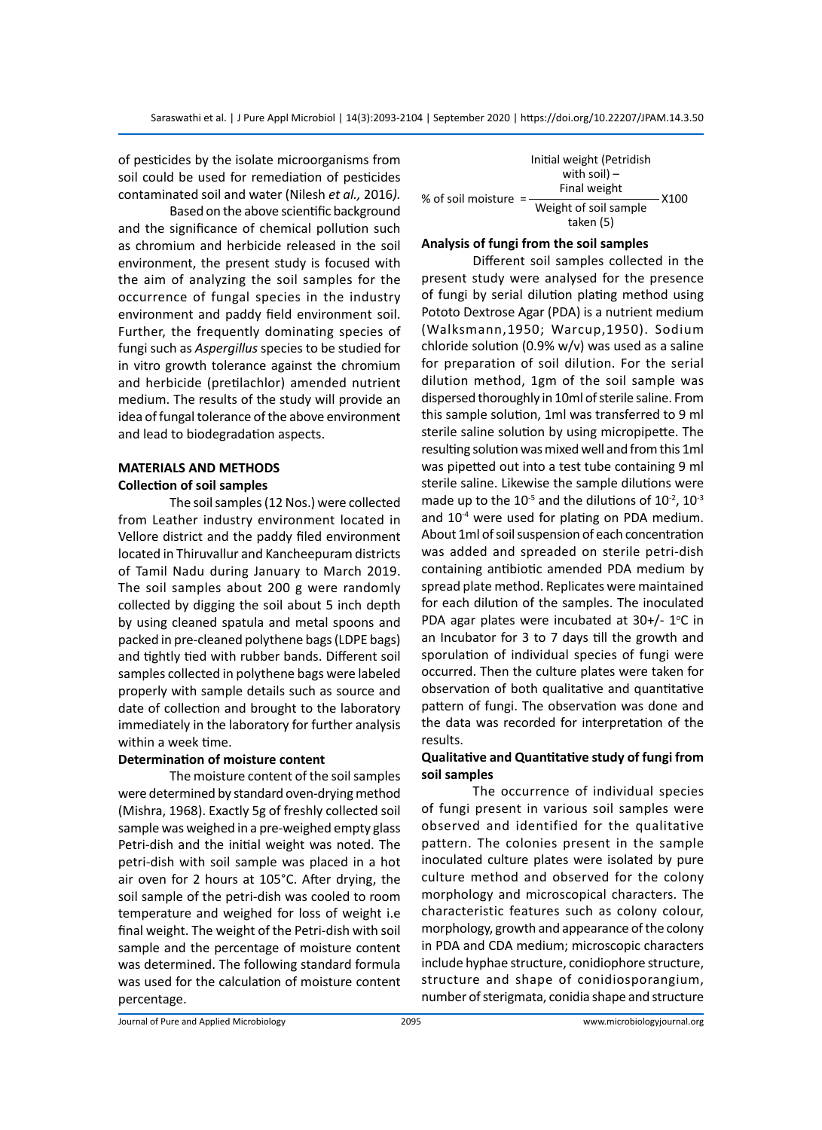of pesticides by the isolate microorganisms from soil could be used for remediation of pesticides contaminated soil and water (Nilesh *et al.,* 2016*).*

Based on the above scientific background and the significance of chemical pollution such as chromium and herbicide released in the soil environment, the present study is focused with the aim of analyzing the soil samples for the occurrence of fungal species in the industry environment and paddy field environment soil. Further, the frequently dominating species of fungi such as *Aspergillus* species to be studied for in vitro growth tolerance against the chromium and herbicide (pretilachlor) amended nutrient medium. The results of the study will provide an idea of fungal tolerance of the above environment and lead to biodegradation aspects.

# **MATERIALS AND METHODS Collection of soil samples**

The soil samples (12 Nos.) were collected from Leather industry environment located in Vellore district and the paddy filed environment located in Thiruvallur and Kancheepuram districts of Tamil Nadu during January to March 2019. The soil samples about 200 g were randomly collected by digging the soil about 5 inch depth by using cleaned spatula and metal spoons and packed in pre-cleaned polythene bags (LDPE bags) and tightly tied with rubber bands. Different soil samples collected in polythene bags were labeled properly with sample details such as source and date of collection and brought to the laboratory immediately in the laboratory for further analysis within a week time.

#### **Determination of moisture content**

The moisture content of the soil samples were determined by standard oven-drying method (Mishra, 1968). Exactly 5g of freshly collected soil sample was weighed in a pre-weighed empty glass Petri-dish and the initial weight was noted. The petri-dish with soil sample was placed in a hot air oven for 2 hours at 105°C. After drying, the soil sample of the petri-dish was cooled to room temperature and weighed for loss of weight i.e final weight. The weight of the Petri-dish with soil sample and the percentage of moisture content was determined. The following standard formula was used for the calculation of moisture content percentage.

|                      | Initial weight (Petridish<br>with soil) $-$<br>Final weight |      |
|----------------------|-------------------------------------------------------------|------|
| % of soil moisture = | Weight of soil sample<br>taken (5)                          | X100 |

# **Analysis of fungi from the soil samples**

Different soil samples collected in the present study were analysed for the presence of fungi by serial dilution plating method using Pototo Dextrose Agar (PDA) is a nutrient medium (Walksmann,1950; Warcup,1950). Sodium chloride solution (0.9% w/v) was used as a saline for preparation of soil dilution. For the serial dilution method, 1gm of the soil sample was dispersed thoroughly in 10ml of sterile saline. From this sample solution, 1ml was transferred to 9 ml sterile saline solution by using micropipette. The resulting solution was mixed well and from this 1ml was pipetted out into a test tube containing 9 ml sterile saline. Likewise the sample dilutions were made up to the  $10^{-5}$  and the dilutions of  $10^{-2}$ ,  $10^{-3}$ and 10<sup>-4</sup> were used for plating on PDA medium. About 1ml of soil suspension of each concentration was added and spreaded on sterile petri-dish containing antibiotic amended PDA medium by spread plate method. Replicates were maintained for each dilution of the samples. The inoculated PDA agar plates were incubated at  $30+/- 1°C$  in an Incubator for 3 to 7 days till the growth and sporulation of individual species of fungi were occurred. Then the culture plates were taken for observation of both qualitative and quantitative pattern of fungi. The observation was done and the data was recorded for interpretation of the results.

### **Qualitative and Quantitative study of fungi from soil samples**

The occurrence of individual species of fungi present in various soil samples were observed and identified for the qualitative pattern. The colonies present in the sample inoculated culture plates were isolated by pure culture method and observed for the colony morphology and microscopical characters. The characteristic features such as colony colour, morphology, growth and appearance of the colony in PDA and CDA medium; microscopic characters include hyphae structure, conidiophore structure, structure and shape of conidiosporangium, number of sterigmata, conidia shape and structure

Journal of Pure and Applied Microbiology 2095 www.microbiologyjournal.org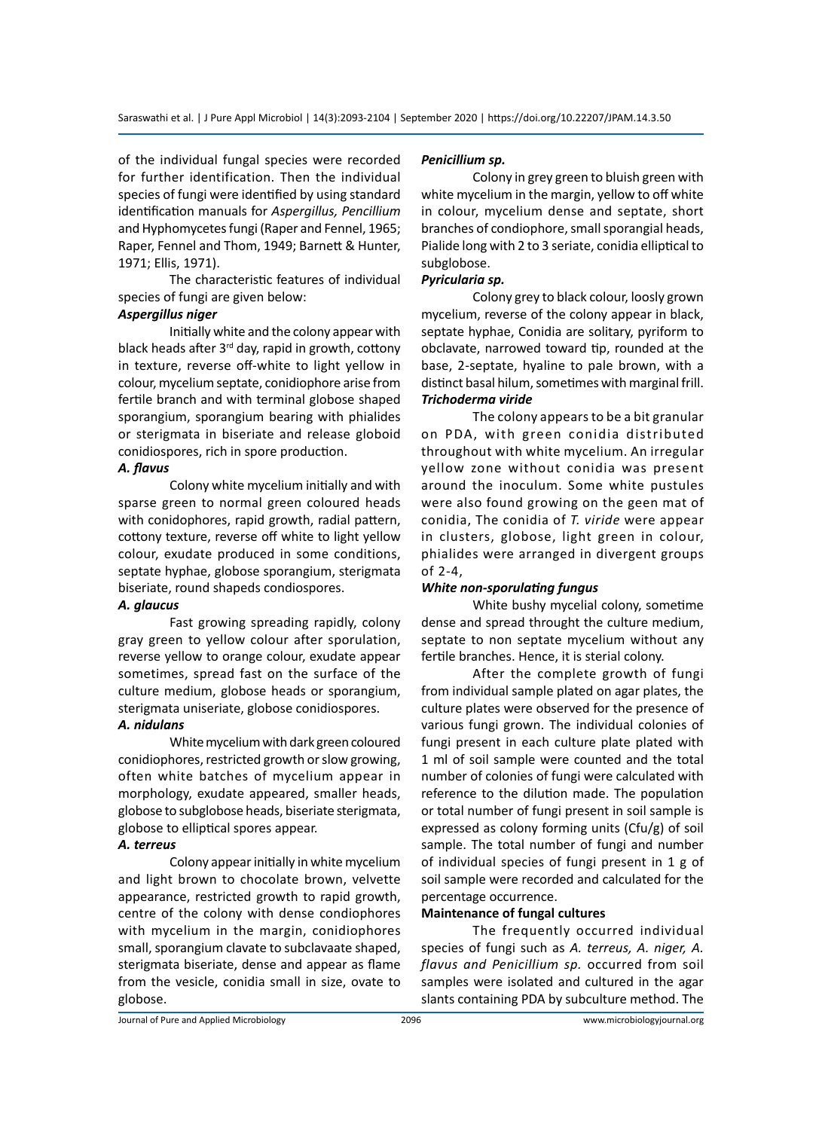of the individual fungal species were recorded for further identification. Then the individual species of fungi were identified by using standard identification manuals for *Aspergillus, Pencillium* and Hyphomycetes fungi (Raper and Fennel, 1965; Raper, Fennel and Thom, 1949; Barnett & Hunter, 1971; Ellis, 1971).

The characteristic features of individual species of fungi are given below:

### *Aspergillus niger*

Initially white and the colony appear with black heads after 3<sup>rd</sup> day, rapid in growth, cottony in texture, reverse off-white to light yellow in colour, mycelium septate, conidiophore arise from fertile branch and with terminal globose shaped sporangium, sporangium bearing with phialides or sterigmata in biseriate and release globoid conidiospores, rich in spore production.

#### *A. flavus*

Colony white mycelium initially and with sparse green to normal green coloured heads with conidophores, rapid growth, radial pattern, cottony texture, reverse off white to light yellow colour, exudate produced in some conditions, septate hyphae, globose sporangium, sterigmata biseriate, round shapeds condiospores.

#### *A. glaucus*

Fast growing spreading rapidly, colony gray green to yellow colour after sporulation, reverse yellow to orange colour, exudate appear sometimes, spread fast on the surface of the culture medium, globose heads or sporangium, sterigmata uniseriate, globose conidiospores.

#### *A. nidulans*

White mycelium with dark green coloured conidiophores, restricted growth or slow growing, often white batches of mycelium appear in morphology, exudate appeared, smaller heads, globose to subglobose heads, biseriate sterigmata, globose to elliptical spores appear.

#### *A. terreus*

Colony appear initially in white mycelium and light brown to chocolate brown, velvette appearance, restricted growth to rapid growth, centre of the colony with dense condiophores with mycelium in the margin, conidiophores small, sporangium clavate to subclavaate shaped, sterigmata biseriate, dense and appear as flame from the vesicle, conidia small in size, ovate to globose.

# *Penicillium sp.*

Colony in grey green to bluish green with white mycelium in the margin, yellow to off white in colour, mycelium dense and septate, short branches of condiophore, small sporangial heads, Pialide long with 2 to 3 seriate, conidia elliptical to subglobose.

### *Pyricularia sp.*

Colony grey to black colour, loosly grown mycelium, reverse of the colony appear in black, septate hyphae, Conidia are solitary, pyriform to obclavate, narrowed toward tip, rounded at the base, 2-septate, hyaline to pale brown, with a distinct basal hilum, sometimes with marginal frill. *Trichoderma viride*

The colony appears to be a bit granular on PDA, with green conidia distributed throughout with white mycelium. An irregular yellow zone without conidia was present around the inoculum. Some white pustules were also found growing on the geen mat of conidia, The conidia of *T. viride* were appear in clusters, globose, light green in colour, phialides were arranged in divergent groups of 2-4,

# *White non-sporulating fungus*

White bushy mycelial colony, sometime dense and spread throught the culture medium, septate to non septate mycelium without any fertile branches. Hence, it is sterial colony.

After the complete growth of fungi from individual sample plated on agar plates, the culture plates were observed for the presence of various fungi grown. The individual colonies of fungi present in each culture plate plated with 1 ml of soil sample were counted and the total number of colonies of fungi were calculated with reference to the dilution made. The population or total number of fungi present in soil sample is expressed as colony forming units (Cfu/g) of soil sample. The total number of fungi and number of individual species of fungi present in 1 g of soil sample were recorded and calculated for the percentage occurrence.

# **Maintenance of fungal cultures**

The frequently occurred individual species of fungi such as *A. terreus, A. niger, A. flavus and Penicillium sp.* occurred from soil samples were isolated and cultured in the agar slants containing PDA by subculture method. The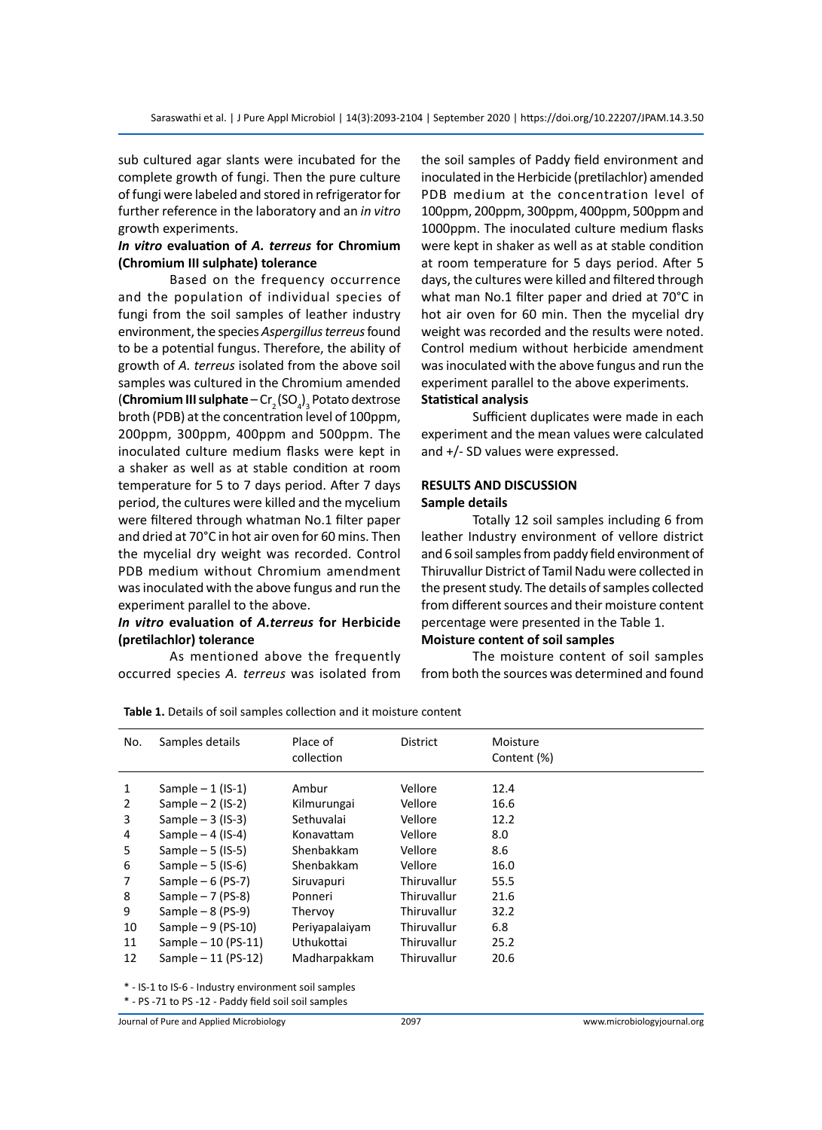sub cultured agar slants were incubated for the complete growth of fungi. Then the pure culture of fungi were labeled and stored in refrigerator for further reference in the laboratory and an *in vitro* growth experiments.

#### *In vitro* **evaluation of** *A. terreus* **for Chromium (Chromium III sulphate) tolerance**

Based on the frequency occurrence and the population of individual species of fungi from the soil samples of leather industry environment, the species *Aspergillus terreus* found to be a potential fungus. Therefore, the ability of growth of *A. terreus* isolated from the above soil samples was cultured in the Chromium amended (**Chromium III sulphate** – Cr<sub>2</sub> (SO<sub>4</sub>)<sub>3</sub> Potato dextrose broth (PDB) at the concentration level of 100ppm, 200ppm, 300ppm, 400ppm and 500ppm. The inoculated culture medium flasks were kept in a shaker as well as at stable condition at room temperature for 5 to 7 days period. After 7 days period, the cultures were killed and the mycelium were filtered through whatman No.1 filter paper and dried at 70°C in hot air oven for 60 mins. Then the mycelial dry weight was recorded. Control PDB medium without Chromium amendment was inoculated with the above fungus and run the experiment parallel to the above.

# *In vitro* **evaluation of** *A.terreus* **for Herbicide (pretilachlor) tolerance**

As mentioned above the frequently occurred species *A. terreus* was isolated from the soil samples of Paddy field environment and inoculated in the Herbicide (pretilachlor) amended PDB medium at the concentration level of 100ppm, 200ppm, 300ppm, 400ppm, 500ppm and 1000ppm. The inoculated culture medium flasks were kept in shaker as well as at stable condition at room temperature for 5 days period. After 5 days, the cultures were killed and filtered through what man No.1 filter paper and dried at 70°C in hot air oven for 60 min. Then the mycelial dry weight was recorded and the results were noted. Control medium without herbicide amendment was inoculated with the above fungus and run the experiment parallel to the above experiments.

# **Statistical analysis**

Sufficient duplicates were made in each experiment and the mean values were calculated and +/- SD values were expressed.

#### **RESULTS AND DISCUSSION Sample details**

Totally 12 soil samples including 6 from leather Industry environment of vellore district and 6 soil samples from paddy field environment of Thiruvallur District of Tamil Nadu were collected in the present study. The details of samples collected from different sources and their moisture content percentage were presented in the Table 1.

#### **Moisture content of soil samples**

The moisture content of soil samples from both the sources was determined and found

| No. | Samples details      | Place of<br>collection | District    | Moisture<br>Content (%) |
|-----|----------------------|------------------------|-------------|-------------------------|
| 1   | Sample $-1$ (IS-1)   | Ambur                  | Vellore     | 12.4                    |
| 2   | Sample $-2$ (IS-2)   | Kilmurungai            | Vellore     | 16.6                    |
| 3   | Sample $-3$ (IS-3)   | Sethuvalai             | Vellore     | 12.2                    |
| 4   | Sample $-4$ (IS-4)   | Konavattam             | Vellore     | 8.0                     |
| 5   | Sample $-5$ (IS-5)   | Shenbakkam             | Vellore     | 8.6                     |
| 6   | Sample $-5$ (IS-6)   | Shenbakkam             | Vellore     | 16.0                    |
| 7   | Sample $-6$ (PS-7)   | Siruvapuri             | Thiruvallur | 55.5                    |
| 8   | Sample $-7$ (PS-8)   | Ponneri                | Thiruvallur | 21.6                    |
| 9   | Sample $-8$ (PS-9)   | Thervoy                | Thiruvallur | 32.2                    |
| 10  | Sample $-9$ (PS-10)  | Periyapalaiyam         | Thiruvallur | 6.8                     |
| 11  | Sample $-10$ (PS-11) | Uthukottai             | Thiruvallur | 25.2                    |
| 12  | Sample $-11$ (PS-12) | Madharpakkam           | Thiruvallur | 20.6                    |

**Table 1.** Details of soil samples collection and it moisture content

\* - IS-1 to IS-6 - Industry environment soil samples

\* - PS -71 to PS -12 - Paddy field soil soil samples

Journal of Pure and Applied Microbiology 2097 www.microbiologyjournal.org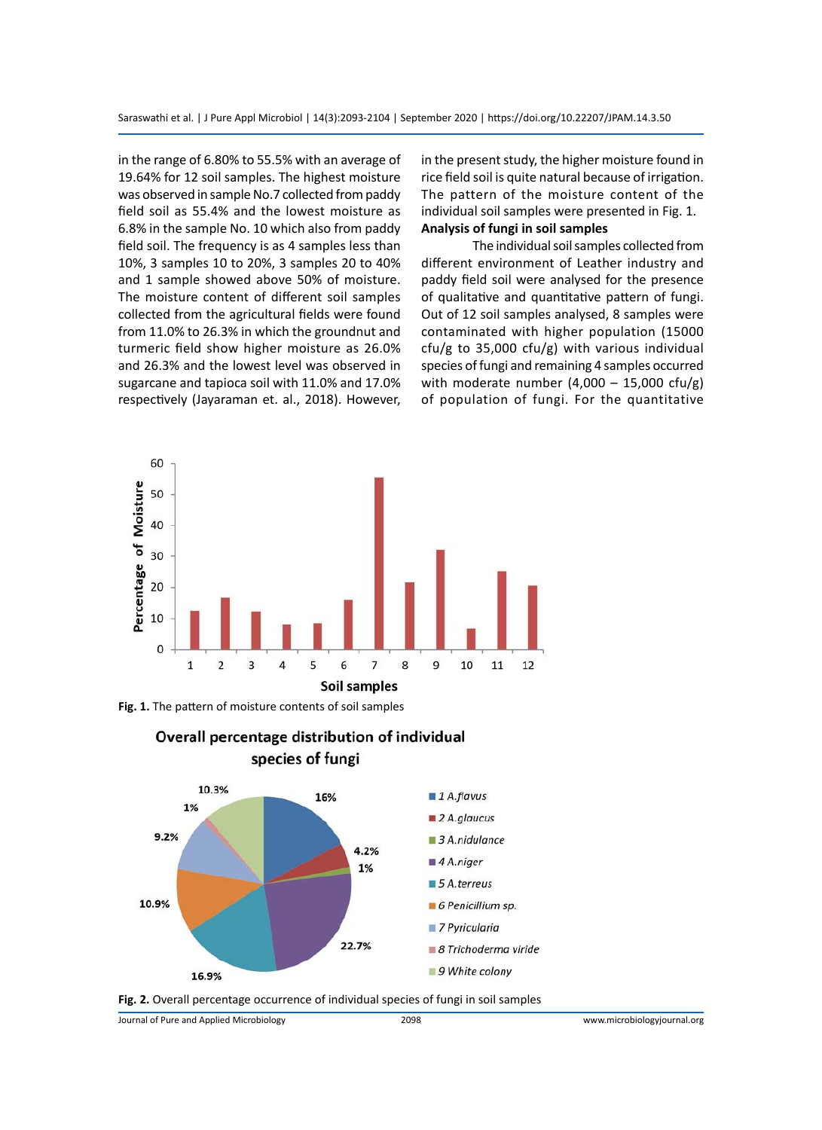in the range of 6.80% to 55.5% with an average of 19.64% for 12 soil samples. The highest moisture was observed in sample No.7 collected from paddy field soil as 55.4% and the lowest moisture as 6.8% in the sample No. 10 which also from paddy field soil. The frequency is as 4 samples less than 10%, 3 samples 10 to 20%, 3 samples 20 to 40% and 1 sample showed above 50% of moisture. The moisture content of different soil samples collected from the agricultural fields were found from 11.0% to 26.3% in which the groundnut and turmeric field show higher moisture as 26.0% and 26.3% and the lowest level was observed in sugarcane and tapioca soil with 11.0% and 17.0% respectively (Jayaraman et. al., 2018). However, in the present study, the higher moisture found in rice field soil is quite natural because of irrigation. The pattern of the moisture content of the individual soil samples were presented in Fig. 1. **Analysis of fungi in soil samples**

The individual soil samples collected from different environment of Leather industry and paddy field soil were analysed for the presence of qualitative and quantitative pattern of fungi. Out of 12 soil samples analysed, 8 samples were contaminated with higher population (15000 cfu/g to 35,000 cfu/g) with various individual species of fungi and remaining 4 samples occurred with moderate number  $(4,000 - 15,000 \text{ cfu/g})$ of population of fungi. For the quantitative



**Fig. 1.** The pattern of moisture contents of soil samples





**Fig. 2.** Overall percentage occurrence of individual species of fungi in soil samples

Journal of Pure and Applied Microbiology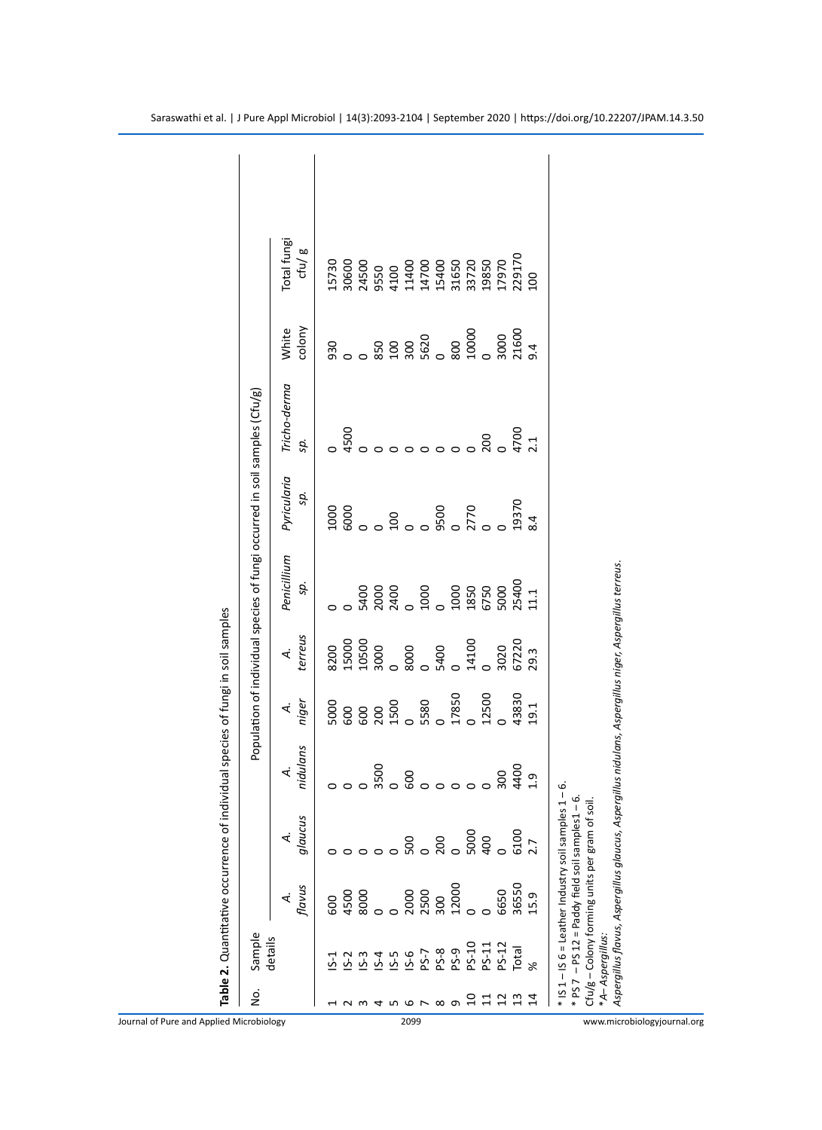| 33720<br>19850<br>17970<br>15730<br>30600<br>31650<br>24500<br>9550<br>4100<br>41400<br>14700<br>15400<br>colony<br>White<br>$\begin{matrix} 800 \\ 10000 \\ 0 \end{matrix}$<br>850<br>300<br>5620<br>930<br>Tricho-derma<br>4500<br>200<br>sp.<br>Pyricularia<br>sp.<br>$\frac{0}{2770}$<br>1000<br>$\frac{6000}{0}$<br>9500<br>001<br>Penicillium<br>sp.<br>5400<br>2000<br>5400<br>1000<br>1000<br>1850<br>6750<br>5000<br>terreus<br>14100<br>3020<br>$\overline{\mathbf{A}}$<br>17850<br>12500<br>8888<br>8888<br>888<br>niger<br>5000<br>₹<br>nidulans<br>4.<br>glaucus<br>4.<br>0000<br>2000<br>2500<br>300<br>32000<br>flavus<br>6650<br>$\begin{matrix} 4500 \\ 800 \\ 0 \end{matrix}$<br>નં<br>600 | 100<br>3000<br>21600<br>9.4<br>4700<br>$\overline{21}$<br>19370<br>3.4<br>25400<br>$\frac{1}{1}$<br>67220<br>29.3<br>43830<br>9.1<br>6100<br>2.7<br>36550<br>15.9<br>details<br>5 5 5 5 6 7 8 9 5 7 1<br>7 7 9 7 9 9 9 9 11<br>7 9 9 9 9 11<br>$PS-12$<br>Total<br>$S-1$ | Total fungi<br>ctu/g<br>229170 |
|--------------------------------------------------------------------------------------------------------------------------------------------------------------------------------------------------------------------------------------------------------------------------------------------------------------------------------------------------------------------------------------------------------------------------------------------------------------------------------------------------------------------------------------------------------------------------------------------------------------------------------------------------------------------------------------------------------------|--------------------------------------------------------------------------------------------------------------------------------------------------------------------------------------------------------------------------------------------------------------------------|--------------------------------|
|                                                                                                                                                                                                                                                                                                                                                                                                                                                                                                                                                                                                                                                                                                              |                                                                                                                                                                                                                                                                          |                                |
|                                                                                                                                                                                                                                                                                                                                                                                                                                                                                                                                                                                                                                                                                                              |                                                                                                                                                                                                                                                                          |                                |
|                                                                                                                                                                                                                                                                                                                                                                                                                                                                                                                                                                                                                                                                                                              |                                                                                                                                                                                                                                                                          |                                |
|                                                                                                                                                                                                                                                                                                                                                                                                                                                                                                                                                                                                                                                                                                              |                                                                                                                                                                                                                                                                          |                                |
|                                                                                                                                                                                                                                                                                                                                                                                                                                                                                                                                                                                                                                                                                                              |                                                                                                                                                                                                                                                                          |                                |
|                                                                                                                                                                                                                                                                                                                                                                                                                                                                                                                                                                                                                                                                                                              |                                                                                                                                                                                                                                                                          |                                |
|                                                                                                                                                                                                                                                                                                                                                                                                                                                                                                                                                                                                                                                                                                              |                                                                                                                                                                                                                                                                          |                                |
|                                                                                                                                                                                                                                                                                                                                                                                                                                                                                                                                                                                                                                                                                                              |                                                                                                                                                                                                                                                                          |                                |
|                                                                                                                                                                                                                                                                                                                                                                                                                                                                                                                                                                                                                                                                                                              |                                                                                                                                                                                                                                                                          |                                |
|                                                                                                                                                                                                                                                                                                                                                                                                                                                                                                                                                                                                                                                                                                              |                                                                                                                                                                                                                                                                          |                                |
|                                                                                                                                                                                                                                                                                                                                                                                                                                                                                                                                                                                                                                                                                                              |                                                                                                                                                                                                                                                                          |                                |
|                                                                                                                                                                                                                                                                                                                                                                                                                                                                                                                                                                                                                                                                                                              |                                                                                                                                                                                                                                                                          |                                |
|                                                                                                                                                                                                                                                                                                                                                                                                                                                                                                                                                                                                                                                                                                              |                                                                                                                                                                                                                                                                          |                                |
|                                                                                                                                                                                                                                                                                                                                                                                                                                                                                                                                                                                                                                                                                                              |                                                                                                                                                                                                                                                                          |                                |
|                                                                                                                                                                                                                                                                                                                                                                                                                                                                                                                                                                                                                                                                                                              |                                                                                                                                                                                                                                                                          |                                |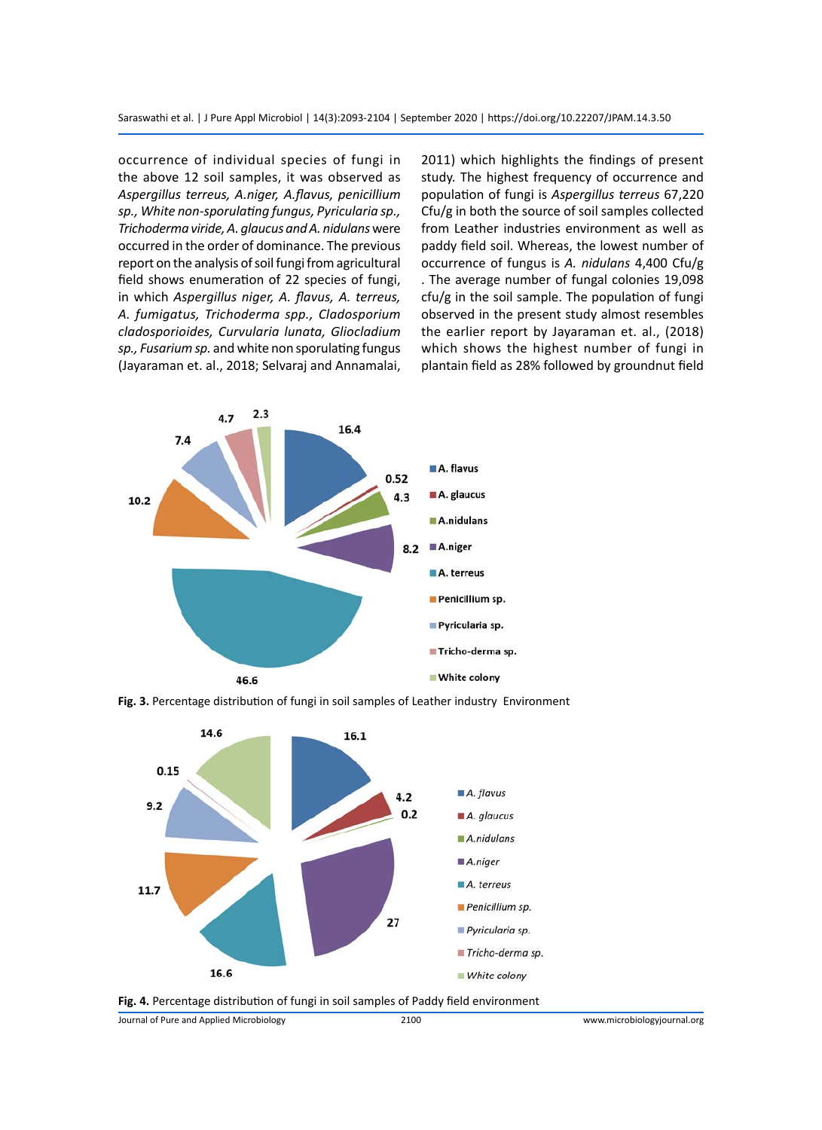occurrence of individual species of fungi in the above 12 soil samples, it was observed as *Aspergillus terreus, A.niger, A.flavus, penicillium sp., White non-sporulating fungus, Pyricularia sp., Trichoderma viride, A. glaucus and A. nidulans* were occurred in the order of dominance. The previous report on the analysis of soil fungi from agricultural field shows enumeration of 22 species of fungi, in which *Aspergillus niger, A. flavus, A. terreus, A. fumigatus, Trichoderma spp., Cladosporium cladosporioides, Curvularia lunata, Gliocladium sp., Fusarium sp.* and white non sporulating fungus (Jayaraman et. al., 2018; Selvaraj and Annamalai, 2011) which highlights the findings of present study. The highest frequency of occurrence and population of fungi is *Aspergillus terreus* 67,220 Cfu/g in both the source of soil samples collected from Leather industries environment as well as paddy field soil. Whereas, the lowest number of occurrence of fungus is *A. nidulans* 4,400 Cfu/g . The average number of fungal colonies 19,098 cfu/g in the soil sample. The population of fungi observed in the present study almost resembles the earlier report by Jayaraman et. al., (2018) which shows the highest number of fungi in plantain field as 28% followed by groundnut field









Journal of Pure and Applied Microbiology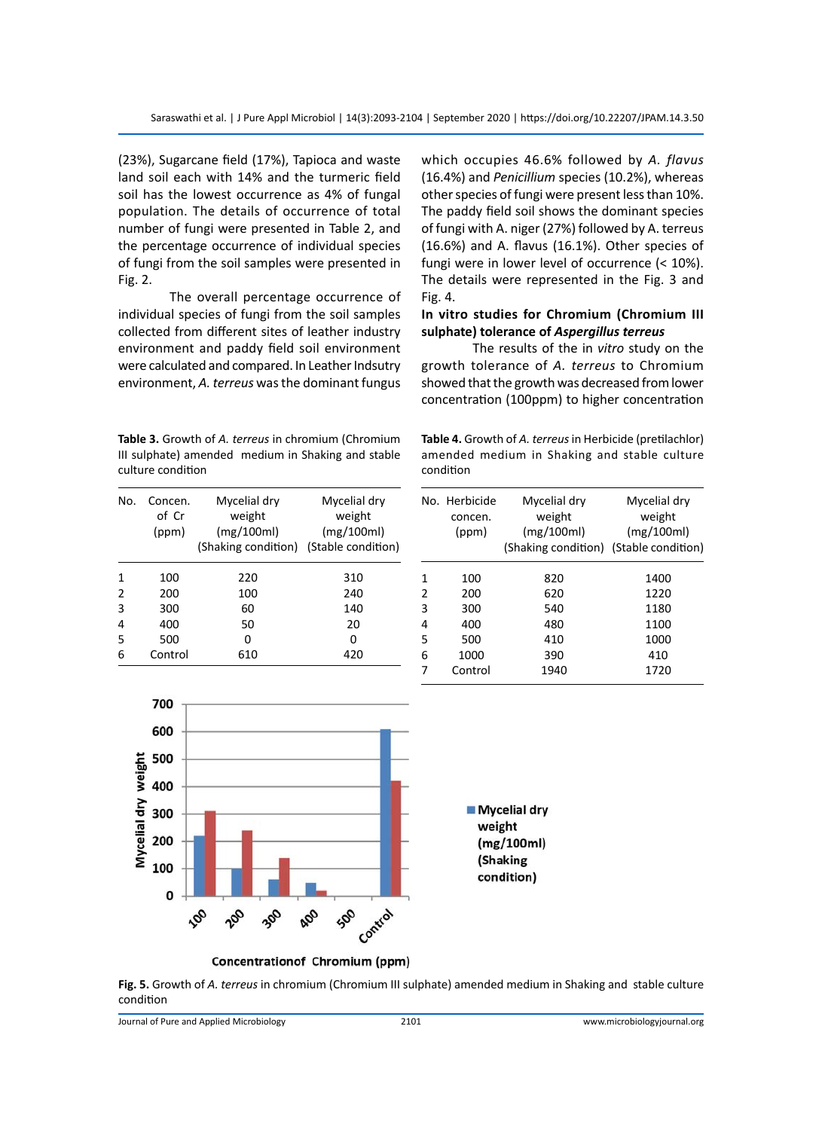(23%), Sugarcane field (17%), Tapioca and waste land soil each with 14% and the turmeric field soil has the lowest occurrence as 4% of fungal population. The details of occurrence of total number of fungi were presented in Table 2, and the percentage occurrence of individual species of fungi from the soil samples were presented in Fig. 2.

The overall percentage occurrence of individual species of fungi from the soil samples collected from different sites of leather industry environment and paddy field soil environment were calculated and compared. In Leather Indsutry environment, *A. terreus* was the dominant fungus

**Table 3.** Growth of *A. terreus* in chromium (Chromium III sulphate) amended medium in Shaking and stable culture condition

which occupies 46.6% followed by *A. flavus* (16.4%) and *Penicillium* species (10.2%), whereas other species of fungi were present less than 10%. The paddy field soil shows the dominant species of fungi with A. niger (27%) followed by A. terreus (16.6%) and A. flavus (16.1%). Other species of fungi were in lower level of occurrence (< 10%). The details were represented in the Fig. 3 and Fig. 4.

# **In vitro studies for Chromium (Chromium III sulphate) tolerance of** *Aspergillus terreus*

The results of the in *vitro* study on the growth tolerance of *A. terreus* to Chromium showed that the growth was decreased from lower concentration (100ppm) to higher concentration

**Table 4.** Growth of *A. terreus* in Herbicide (pretilachlor) amended medium in Shaking and stable culture condition

| No.           | Concen.<br>of Cr<br>(ppm) | Mycelial dry<br>weight<br>(mg/100ml)   | Mycelial dry<br>weight<br>(mg/100ml) |
|---------------|---------------------------|----------------------------------------|--------------------------------------|
|               |                           | (Shaking condition) (Stable condition) |                                      |
| 1             | 100                       | 220                                    | 310                                  |
| $\mathcal{P}$ | 200                       | 100                                    | 240                                  |
| 3             | 300                       | 60                                     | 140                                  |
| 4             | 400                       | 50                                     | 20                                   |
| 5             | 500                       | 0                                      | O                                    |
| 6             | Control                   | 610                                    | 420                                  |

|               | No. Herbicide | Mycelial dry                           | Mycelial dry |
|---------------|---------------|----------------------------------------|--------------|
|               | concen.       | weight                                 | weight       |
|               | (ppm)         | (mg/100ml)                             | (mg/100ml)   |
|               |               | (Shaking condition) (Stable condition) |              |
| 1             | 100           | 820                                    | 1400         |
| $\mathcal{P}$ | 200           | 620                                    | 1220         |
| 3             | 300           | 540                                    | 1180         |
| 4             | 400           | 480                                    | 1100         |
| 5             | 500           | 410                                    | 1000         |
| 6             | 1000          | 390                                    | 410          |
| 7             | Control       | 1940                                   | 1720         |
|               |               |                                        |              |



**Fig. 5.** Growth of *A. terreus* in chromium (Chromium III sulphate) amended medium in Shaking and stable culture condition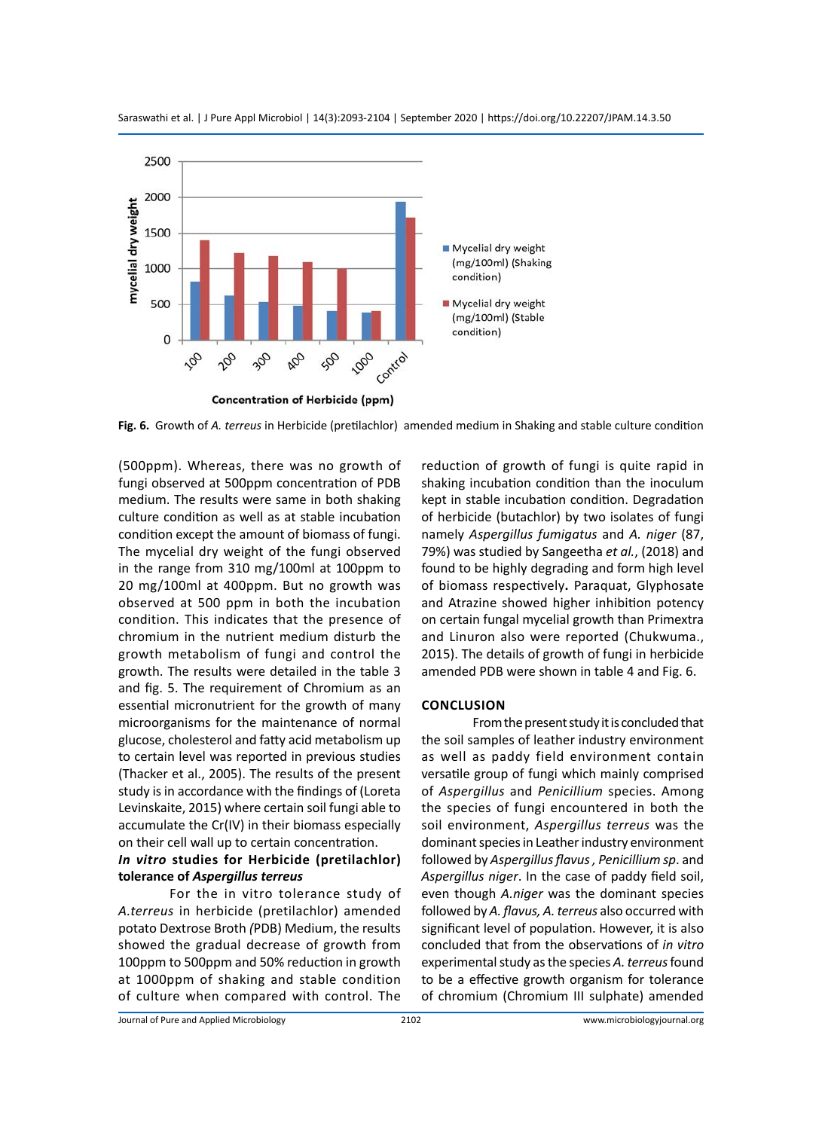

Saraswathi et al. | J Pure Appl Microbiol | 14(3):2093-2104 | September 2020 | https://doi.org/10.22207/JPAM.14.3.50

**Fig. 6.** Growth of *A. terreus* in Herbicide (pretilachlor) amended medium in Shaking and stable culture condition

(500ppm). Whereas, there was no growth of fungi observed at 500ppm concentration of PDB medium. The results were same in both shaking culture condition as well as at stable incubation condition except the amount of biomass of fungi. The mycelial dry weight of the fungi observed in the range from 310 mg/100ml at 100ppm to 20 mg/100ml at 400ppm. But no growth was observed at 500 ppm in both the incubation condition. This indicates that the presence of chromium in the nutrient medium disturb the growth metabolism of fungi and control the growth. The results were detailed in the table 3 and fig. 5. The requirement of Chromium as an essential micronutrient for the growth of many microorganisms for the maintenance of normal glucose, cholesterol and fatty acid metabolism up to certain level was reported in previous studies (Thacker et al., 2005). The results of the present study is in accordance with the findings of (Loreta Levinskaite, 2015) where certain soil fungi able to accumulate the Cr(IV) in their biomass especially on their cell wall up to certain concentration.

# *In vitro* **studies for Herbicide (pretilachlor) tolerance of** *Aspergillus terreus*

For the in vitro tolerance study of *A.terreus* in herbicide (pretilachlor) amended potato Dextrose Broth *(*PDB) Medium, the results showed the gradual decrease of growth from 100ppm to 500ppm and 50% reduction in growth at 1000ppm of shaking and stable condition of culture when compared with control. The

reduction of growth of fungi is quite rapid in shaking incubation condition than the inoculum kept in stable incubation condition. Degradation of herbicide (butachlor) by two isolates of fungi namely *Aspergillus fumigatus* and *A. niger* (87, 79%) was studied by Sangeetha *et al.*, (2018) and found to be highly degrading and form high level of biomass respectively**.** Paraquat, Glyphosate and Atrazine showed higher inhibition potency on certain fungal mycelial growth than Primextra and Linuron also were reported (Chukwuma., 2015). The details of growth of fungi in herbicide amended PDB were shown in table 4 and Fig. 6.

#### **Conclusion**

From the present study it is concluded that the soil samples of leather industry environment as well as paddy field environment contain versatile group of fungi which mainly comprised of *Aspergillus* and *Penicillium* species. Among the species of fungi encountered in both the soil environment, *Aspergillus terreus* was the dominant species in Leather industry environment followed by *Aspergillus flavus , Penicillium sp*. and *Aspergillus niger*. In the case of paddy field soil, even though *A.niger* was the dominant species followed by *A. flavus, A. terreus* also occurred with significant level of population. However, it is also concluded that from the observations of *in vitro* experimental study as the species *A. terreus* found to be a effective growth organism for tolerance of chromium (Chromium III sulphate) amended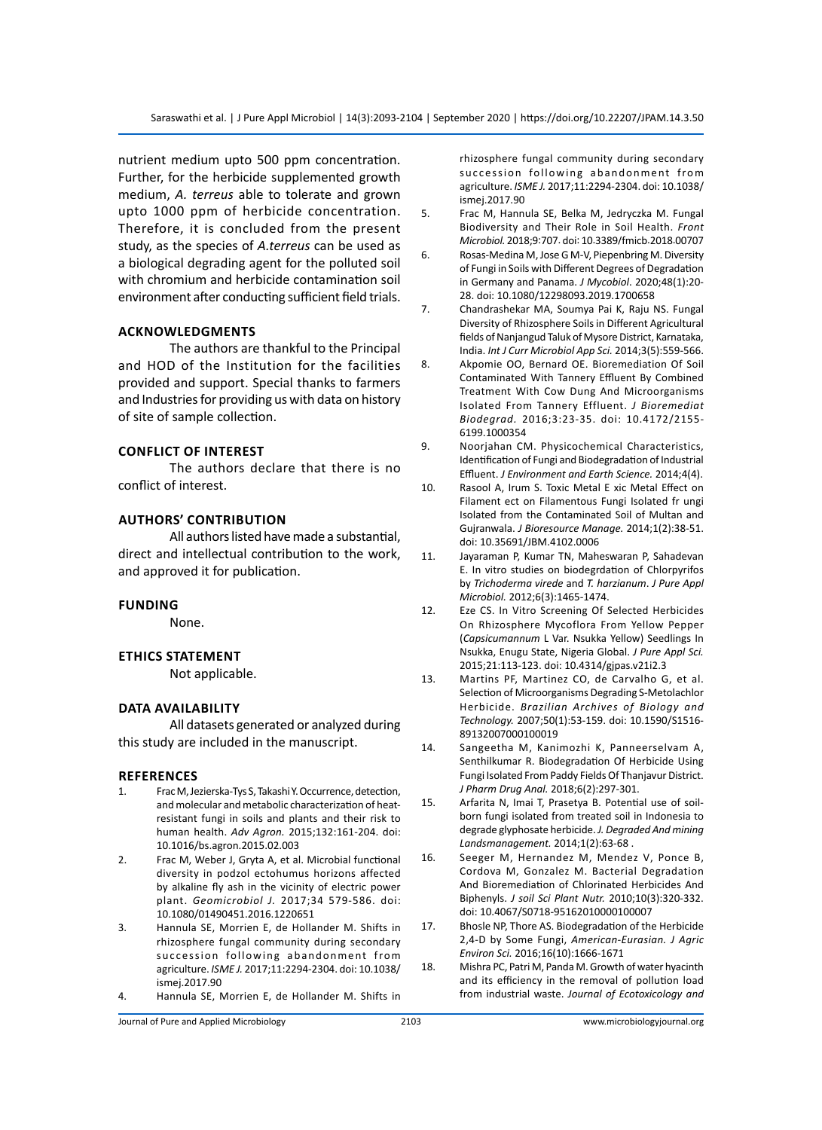nutrient medium upto 500 ppm concentration. Further, for the herbicide supplemented growth medium, *A. terreus* able to tolerate and grown upto 1000 ppm of herbicide concentration. Therefore, it is concluded from the present study, as the species of *A.terreus* can be used as a biological degrading agent for the polluted soil with chromium and herbicide contamination soil environment after conducting sufficient field trials.

#### **Acknowledgments**

The authors are thankful to the Principal and HOD of the Institution for the facilities provided and support. Special thanks to farmers and Industries for providing us with data on history of site of sample collection.

#### **Conflict of Interest**

The authors declare that there is no conflict of interest.

#### **Authors' Contribution**

All authors listed have made a substantial, direct and intellectual contribution to the work, and approved it for publication.

#### **Funding**

None.

#### **Ethics Statement**

Not applicable.

#### **Data Availability**

All datasets generated or analyzed during this study are included in the manuscript.

#### **References**

- 1. Frac M, Jezierska-Tys S, Takashi Y. Occurrence, detection, and molecular and metabolic characterization of heatresistant fungi in soils and plants and their risk to human health. *Adv Agron.* 2015;132:161-204. doi: 10.1016/bs.agron.2015.02.003
- 2. Frac M, Weber J, Gryta A, et al. Microbial functional diversity in podzol ectohumus horizons affected by alkaline fly ash in the vicinity of electric power plant. *Geomicrobiol J.* 2017;34 579-586. doi: 10.1080/01490451.2016.1220651
- 3. Hannula SE, Morrien E, de Hollander M. Shifts in rhizosphere fungal community during secondary succession following abandonment from agriculture. *ISME J.* 2017;11:2294-2304. doi: 10.1038/ ismej.2017.90
- 4. Hannula SE, Morrien E, de Hollander M. Shifts in

rhizosphere fungal community during secondary succession following abandonment from agriculture. *ISME J.* 2017;11:2294-2304. doi: 10.1038/ ismej.2017.90

- 5. Frac M, Hannula SE, Belka M, Jedryczka M. Fungal Biodiversity and Their Role in Soil Health. *Front Microbiol.* 2018;9:707. doi: 10.3389/fmicb.2018.00707
- 6. [Rosas-Medina](https://www.tandfonline.com/author/Rosas-Medina%2C+Miguel) M, [Jose G M-V,](https://www.tandfonline.com/author/Maci%C3%A1-Vicente%2C+Jose+G) [Piepenbring](https://www.tandfonline.com/author/Piepenbring%2C+Meike) M. Diversity of Fungi in Soils with Different Degrees of Degradation in Germany and Panama. *J Mycobiol*. 2020;48(1):20- 28. doi: 10.1080/12298093.2019.1700658
- 7. Chandrashekar MA, Soumya Pai K, Raju NS. Fungal Diversity of Rhizosphere Soils in Different Agricultural fields of Nanjangud Taluk of Mysore District, Karnataka, India. *Int J Curr Microbiol App Sci.* 2014;3(5):559-566.
- 8. Akpomie OO, Bernard OE. Bioremediation Of Soil Contaminated With Tannery Effluent By Combined Treatment With Cow Dung And Microorganisms Isolated From Tannery Effluent. *J Bioremediat Biodegrad.* 2016;3:23-35. doi: 10.4172/2155- 6199.1000354
- 9. Noorjahan CM. Physicochemical Characteristics, Identification of Fungi and Biodegradation of Industrial Effluent. *J Environment and Earth Science.* 2014;4(4).
- 10. Rasool A, Irum S. Toxic Metal E xic Metal Effect on Filament ect on Filamentous Fungi Isolated fr ungi Isolated from the Contaminated Soil of Multan and Gujranwala. *J Bioresource Manage.* 2014;1(2):38-51. doi: 10.35691/JBM.4102.0006
- 11. Jayaraman P, Kumar TN, Maheswaran P, Sahadevan E. In vitro studies on biodegrdation of Chlorpyrifos by *Trichoderma virede* and *T. harzianum*. *J Pure Appl Microbiol.* 2012;6(3):1465-1474.
- 12. Eze CS. In Vitro Screening Of Selected Herbicides On Rhizosphere Mycoflora From Yellow Pepper (*Capsicumannum* L Var. Nsukka Yellow) Seedlings In Nsukka, Enugu State, Nigeria Global. *J Pure Appl Sci.*  2015;21:113-123. doi: 10.4314/gjpas.v21i2.3
- 13. Martins PF, Martinez CO, de Carvalho G, et al. Selection of Microorganisms Degrading S-Metolachlor Herbicide. *Brazilian Archives of Biology and Technology.* 2007;50(1):53-159. doi: 10.1590/S1516- 89132007000100019
- 14. Sangeetha M, Kanimozhi K, Panneerselvam A, Senthilkumar R. Biodegradation Of Herbicide Using Fungi Isolated From Paddy Fields Of Thanjavur District. *J Pharm Drug Anal.* 2018;6(2):297-301.
- 15. Arfarita N, Imai T, Prasetya B. Potential use of soilborn fungi isolated from treated soil in Indonesia to degrade glyphosate herbicide. *J. Degraded And mining Landsmanagement.* 2014;1(2):63-68 .
- 16. Seeger M, Hernandez M, Mendez V, Ponce B, Cordova M, Gonzalez M. Bacterial Degradation And Bioremediation of Chlorinated Herbicides And Biphenyls. *J soil Sci Plant Nutr.* 2010;10(3):320-332. doi: 10.4067/S0718-95162010000100007
- 17. Bhosle NP, Thore AS. Biodegradation of the Herbicide 2,4-D by Some Fungi, *American-Eurasian. J Agric Environ Sci.* 2016;16(10):1666-1671
- 18. Mishra PC, Patri M, Panda M. Growth of water hyacinth and its efficiency in the removal of pollution load from industrial waste. *Journal of Ecotoxicology and*